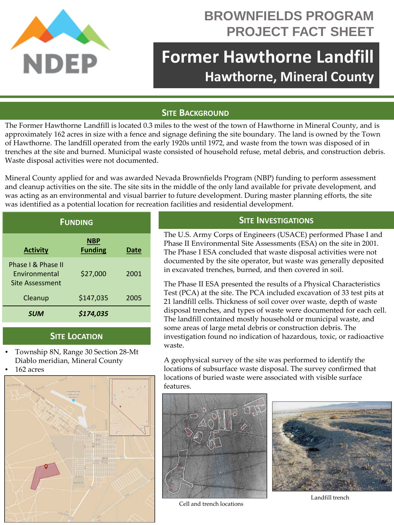

## **BROWNFIELDS PROGRAM PROJECT FACT SHEET**

# **Former Hawthorne Landfill Hawthorne, Mineral County**

#### **SITE BACKGROUND**

The Former Hawthorne Landfill is located 0.3 miles to the west of the town of Hawthorne in Mineral County, and is approximately 162 acres in size with a fence and signage defining the site boundary. The land is owned by the Town of Hawthorne. The landfill operated from the early 1920s until 1972, and waste from the town was disposed of in trenches at the site and burned. Municipal waste consisted of household refuse, metal debris, and construction debris. Waste disposal activities were not documented.

Mineral County applied for and was awarded Nevada Brownfields Program (NBP) funding to perform assessment and cleanup activities on the site. The site sits in the middle of the only land available for private development, and was acting as an environmental and visual barrier to future development. During master planning efforts, the site was identified as a potential location for recreation facilities and residential development.

| <b>FUNDING</b>                                                |                              |      |
|---------------------------------------------------------------|------------------------------|------|
| <b>Activity</b>                                               | <b>NBP</b><br><b>Funding</b> | Date |
| Phase I & Phase II<br><b>Fnvironmental</b><br>Site Assessment | \$27,000                     | 2001 |
| Cleanup                                                       | \$147,035                    | 2005 |
| <b>SUM</b>                                                    | \$174,035                    |      |

#### **SITE LOCATION**

- Township 8N, Range 30 Section 28-Mt Diablo meridian, Mineral County
- 162 acres



### **SITE INVESTIGATIONS**

The U.S. Army Corps of Engineers (USACE) performed Phase I and Phase II Environmental Site Assessments (ESA) on the site in 2001. The Phase I ESA concluded that waste disposal activities were not documented by the site operator, but waste was generally deposited in excavated trenches, burned, and then covered in soil.

The Phase II ESA presented the results of a Physical Characteristics Test (PCA) at the site. The PCA included excavation of 33 test pits at 21 landfill cells. Thickness of soil cover over waste, depth of waste disposal trenches, and types of waste were documented for each cell. The landfill contained mostly household or municipal waste, and some areas of large metal debris or construction debris. The investigation found no indication of hazardous, toxic, or radioactive waste.

A geophysical survey of the site was performed to identify the locations of subsurface waste disposal. The survey confirmed that locations of buried waste were associated with visible surface features.



Cell and trench locations



Landfill trench